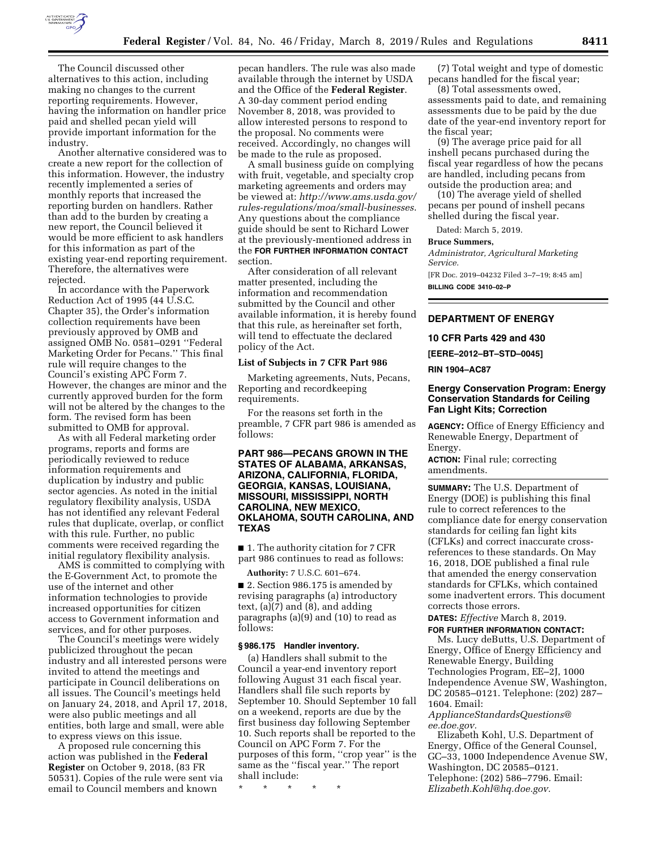

The Council discussed other alternatives to this action, including making no changes to the current reporting requirements. However, having the information on handler price paid and shelled pecan yield will provide important information for the industry.

Another alternative considered was to create a new report for the collection of this information. However, the industry recently implemented a series of monthly reports that increased the reporting burden on handlers. Rather than add to the burden by creating a new report, the Council believed it would be more efficient to ask handlers for this information as part of the existing year-end reporting requirement. Therefore, the alternatives were rejected.

In accordance with the Paperwork Reduction Act of 1995 (44 U.S.C. Chapter 35), the Order's information collection requirements have been previously approved by OMB and assigned OMB No. 0581–0291 ''Federal Marketing Order for Pecans.'' This final rule will require changes to the Council's existing APC Form 7. However, the changes are minor and the currently approved burden for the form will not be altered by the changes to the form. The revised form has been submitted to OMB for approval.

As with all Federal marketing order programs, reports and forms are periodically reviewed to reduce information requirements and duplication by industry and public sector agencies. As noted in the initial regulatory flexibility analysis, USDA has not identified any relevant Federal rules that duplicate, overlap, or conflict with this rule. Further, no public comments were received regarding the initial regulatory flexibility analysis.

AMS is committed to complying with the E-Government Act, to promote the use of the internet and other information technologies to provide increased opportunities for citizen access to Government information and services, and for other purposes.

The Council's meetings were widely publicized throughout the pecan industry and all interested persons were invited to attend the meetings and participate in Council deliberations on all issues. The Council's meetings held on January 24, 2018, and April 17, 2018, were also public meetings and all entities, both large and small, were able to express views on this issue.

A proposed rule concerning this action was published in the **Federal Register** on October 9, 2018, (83 FR 50531). Copies of the rule were sent via email to Council members and known

pecan handlers. The rule was also made available through the internet by USDA and the Office of the **Federal Register**. A 30-day comment period ending November 8, 2018, was provided to allow interested persons to respond to the proposal. No comments were received. Accordingly, no changes will be made to the rule as proposed.

A small business guide on complying with fruit, vegetable, and specialty crop marketing agreements and orders may be viewed at: *[http://www.ams.usda.gov/](http://www.ams.usda.gov/rules-regulations/moa/small-businesses) [rules-regulations/moa/small-businesses](http://www.ams.usda.gov/rules-regulations/moa/small-businesses)*. Any questions about the compliance guide should be sent to Richard Lower at the previously-mentioned address in the **FOR FURTHER INFORMATION CONTACT** section.

After consideration of all relevant matter presented, including the information and recommendation submitted by the Council and other available information, it is hereby found that this rule, as hereinafter set forth, will tend to effectuate the declared policy of the Act.

# **List of Subjects in 7 CFR Part 986**

Marketing agreements, Nuts, Pecans, Reporting and recordkeeping requirements.

For the reasons set forth in the preamble, 7 CFR part 986 is amended as follows:

# **PART 986—PECANS GROWN IN THE STATES OF ALABAMA, ARKANSAS, ARIZONA, CALIFORNIA, FLORIDA, GEORGIA, KANSAS, LOUISIANA, MISSOURI, MISSISSIPPI, NORTH CAROLINA, NEW MEXICO, OKLAHOMA, SOUTH CAROLINA, AND TEXAS**

■ 1. The authority citation for 7 CFR part 986 continues to read as follows:

**Authority:** 7 U.S.C. 601–674.

■ 2. Section 986.175 is amended by revising paragraphs (a) introductory text, (a)(7) and (8), and adding paragraphs (a)(9) and (10) to read as follows:

#### **§ 986.175 Handler inventory.**

(a) Handlers shall submit to the Council a year-end inventory report following August 31 each fiscal year. Handlers shall file such reports by September 10. Should September 10 fall on a weekend, reports are due by the first business day following September 10. Such reports shall be reported to the Council on APC Form 7. For the purposes of this form, ''crop year'' is the same as the ''fiscal year.'' The report shall include:

\* \* \* \* \*

(7) Total weight and type of domestic pecans handled for the fiscal year;

(8) Total assessments owed, assessments paid to date, and remaining assessments due to be paid by the due date of the year-end inventory report for the fiscal year;

(9) The average price paid for all inshell pecans purchased during the fiscal year regardless of how the pecans are handled, including pecans from outside the production area; and

(10) The average yield of shelled pecans per pound of inshell pecans shelled during the fiscal year.

Dated: March 5, 2019.

#### **Bruce Summers,**

*Administrator, Agricultural Marketing Service.*  [FR Doc. 2019–04232 Filed 3–7–19; 8:45 am]

**BILLING CODE 3410–02–P** 

# **DEPARTMENT OF ENERGY**

#### **10 CFR Parts 429 and 430**

**[EERE–2012–BT–STD–0045]** 

#### **RIN 1904–AC87**

# **Energy Conservation Program: Energy Conservation Standards for Ceiling Fan Light Kits; Correction**

**AGENCY:** Office of Energy Efficiency and Renewable Energy, Department of Energy.

**ACTION:** Final rule; correcting amendments.

**SUMMARY:** The U.S. Department of Energy (DOE) is publishing this final rule to correct references to the compliance date for energy conservation standards for ceiling fan light kits (CFLKs) and correct inaccurate crossreferences to these standards. On May 16, 2018, DOE published a final rule that amended the energy conservation standards for CFLKs, which contained some inadvertent errors. This document corrects those errors.

# **DATES:** *Effective* March 8, 2019. **FOR FURTHER INFORMATION CONTACT:**

Ms. Lucy deButts, U.S. Department of Energy, Office of Energy Efficiency and Renewable Energy, Building Technologies Program, EE–2J, 1000 Independence Avenue SW, Washington, DC 20585–0121. Telephone: (202) 287– 1604. Email:

*[ApplianceStandardsQuestions@](mailto:ApplianceStandardsQuestions@ee.doe.gov) [ee.doe.gov.](mailto:ApplianceStandardsQuestions@ee.doe.gov)* 

Elizabeth Kohl, U.S. Department of Energy, Office of the General Counsel, GC–33, 1000 Independence Avenue SW, Washington, DC 20585–0121. Telephone: (202) 586–7796. Email: *[Elizabeth.Kohl@hq.doe.gov.](mailto:Elizabeth.Kohl@hq.doe.gov)*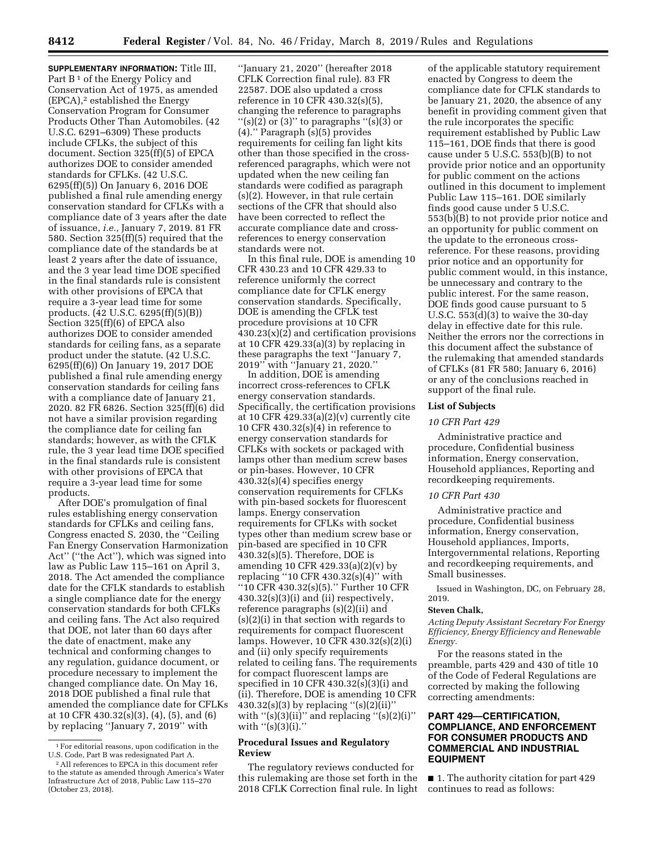**SUPPLEMENTARY INFORMATION:** Title III, Part B<sup>1</sup> of the Energy Policy and Conservation Act of 1975, as amended (EPCA),2 established the Energy Conservation Program for Consumer Products Other Than Automobiles. (42 U.S.C. 6291–6309) These products include CFLKs, the subject of this document. Section 325(ff)(5) of EPCA authorizes DOE to consider amended standards for CFLKs. (42 U.S.C. 6295(ff)(5)) On January 6, 2016 DOE published a final rule amending energy conservation standard for CFLKs with a compliance date of 3 years after the date of issuance, *i.e.,* January 7, 2019. 81 FR 580. Section 325(ff)(5) required that the compliance date of the standards be at least 2 years after the date of issuance, and the 3 year lead time DOE specified in the final standards rule is consistent with other provisions of EPCA that require a 3-year lead time for some products. (42 U.S.C. 6295(ff)(5)(B)) Section 325(ff)(6) of EPCA also authorizes DOE to consider amended standards for ceiling fans, as a separate product under the statute. (42 U.S.C. 6295(ff)(6)) On January 19, 2017 DOE published a final rule amending energy conservation standards for ceiling fans with a compliance date of January 21, 2020. 82 FR 6826. Section 325(ff)(6) did not have a similar provision regarding the compliance date for ceiling fan standards; however, as with the CFLK rule, the 3 year lead time DOE specified in the final standards rule is consistent with other provisions of EPCA that require a 3-year lead time for some products.

After DOE's promulgation of final rules establishing energy conservation standards for CFLKs and ceiling fans, Congress enacted S. 2030, the ''Ceiling Fan Energy Conservation Harmonization Act'' (''the Act''), which was signed into law as Public Law 115–161 on April 3, 2018. The Act amended the compliance date for the CFLK standards to establish a single compliance date for the energy conservation standards for both CFLKs and ceiling fans. The Act also required that DOE, not later than 60 days after the date of enactment, make any technical and conforming changes to any regulation, guidance document, or procedure necessary to implement the changed compliance date. On May 16, 2018 DOE published a final rule that amended the compliance date for CFLKs at 10 CFR 430.32(s)(3), (4), (5), and (6) by replacing ''January 7, 2019'' with

''January 21, 2020'' (hereafter 2018 CFLK Correction final rule). 83 FR 22587. DOE also updated a cross reference in 10 CFR 430.32(s)(5), changing the reference to paragraphs  $''(s)(2)$  or  $(3)''$  to paragraphs  $''(s)(3)$  or (4).'' Paragraph (s)(5) provides requirements for ceiling fan light kits other than those specified in the crossreferenced paragraphs, which were not updated when the new ceiling fan standards were codified as paragraph (s)(2). However, in that rule certain sections of the CFR that should also have been corrected to reflect the accurate compliance date and crossreferences to energy conservation standards were not.

In this final rule, DOE is amending 10 CFR 430.23 and 10 CFR 429.33 to reference uniformly the correct compliance date for CFLK energy conservation standards. Specifically, DOE is amending the CFLK test procedure provisions at 10 CFR  $430.23(x)(2)$  and certification provisions at 10 CFR 429.33(a)(3) by replacing in these paragraphs the text ''January 7, 2019'' with ''January 21, 2020.''

In addition, DOE is amending incorrect cross-references to CFLK energy conservation standards. Specifically, the certification provisions at 10 CFR  $429.33(a)(2)(v)$  currently cite 10 CFR 430.32(s)(4) in reference to energy conservation standards for CFLKs with sockets or packaged with lamps other than medium screw bases or pin-bases. However, 10 CFR 430.32(s)(4) specifies energy conservation requirements for CFLKs with pin-based sockets for fluorescent lamps. Energy conservation requirements for CFLKs with socket types other than medium screw base or pin-based are specified in 10 CFR 430.32(s)(5). Therefore, DOE is amending 10 CFR 429.33(a)(2)(v) by replacing ''10 CFR 430.32(s)(4)'' with ''10 CFR 430.32(s)(5).'' Further 10 CFR  $430.32(s)(3)(i)$  and (ii) respectively, reference paragraphs (s)(2)(ii) and (s)(2)(i) in that section with regards to requirements for compact fluorescent lamps. However, 10 CFR 430.32(s)(2)(i) and (ii) only specify requirements related to ceiling fans. The requirements for compact fluorescent lamps are specified in 10 CFR 430.32(s)(3)(i) and (ii). Therefore, DOE is amending 10 CFR 430.32(s)(3) by replacing ''(s)(2)(ii)'' with " $(s)(3)(ii)$ " and replacing " $(s)(2)(i)$ " with  $''(s)(3)(i)$ ."

# **Procedural Issues and Regulatory Review**

The regulatory reviews conducted for this rulemaking are those set forth in the 2018 CFLK Correction final rule. In light of the applicable statutory requirement enacted by Congress to deem the compliance date for CFLK standards to be January 21, 2020, the absence of any benefit in providing comment given that the rule incorporates the specific requirement established by Public Law 115–161, DOE finds that there is good cause under 5 U.S.C. 553(b)(B) to not provide prior notice and an opportunity for public comment on the actions outlined in this document to implement Public Law 115–161. DOE similarly finds good cause under 5 U.S.C. 553(b)(B) to not provide prior notice and an opportunity for public comment on the update to the erroneous crossreference. For these reasons, providing prior notice and an opportunity for public comment would, in this instance, be unnecessary and contrary to the public interest. For the same reason, DOE finds good cause pursuant to 5 U.S.C. 553(d)(3) to waive the 30-day delay in effective date for this rule. Neither the errors nor the corrections in this document affect the substance of the rulemaking that amended standards of CFLKs (81 FR 580; January 6, 2016) or any of the conclusions reached in support of the final rule.

#### **List of Subjects**

#### *10 CFR Part 429*

Administrative practice and procedure, Confidential business information, Energy conservation, Household appliances, Reporting and recordkeeping requirements.

#### *10 CFR Part 430*

Administrative practice and procedure, Confidential business information, Energy conservation, Household appliances, Imports, Intergovernmental relations, Reporting and recordkeeping requirements, and Small businesses.

Issued in Washington, DC, on February 28, 2019.

#### **Steven Chalk,**

*Acting Deputy Assistant Secretary For Energy Efficiency, Energy Efficiency and Renewable Energy.* 

For the reasons stated in the preamble, parts 429 and 430 of title 10 of the Code of Federal Regulations are corrected by making the following correcting amendments:

# **PART 429—CERTIFICATION, COMPLIANCE, AND ENFORCEMENT FOR CONSUMER PRODUCTS AND COMMERCIAL AND INDUSTRIAL EQUIPMENT**

■ 1. The authority citation for part 429 continues to read as follows:

<sup>&</sup>lt;sup>1</sup>For editorial reasons, upon codification in the U.S. Code, Part B was redesignated Part A.

<sup>&</sup>lt;sup>2</sup> All references to EPCA in this document refer to the statute as amended through America's Water Infrastructure Act of 2018, Public Law 115–270 (October 23, 2018).